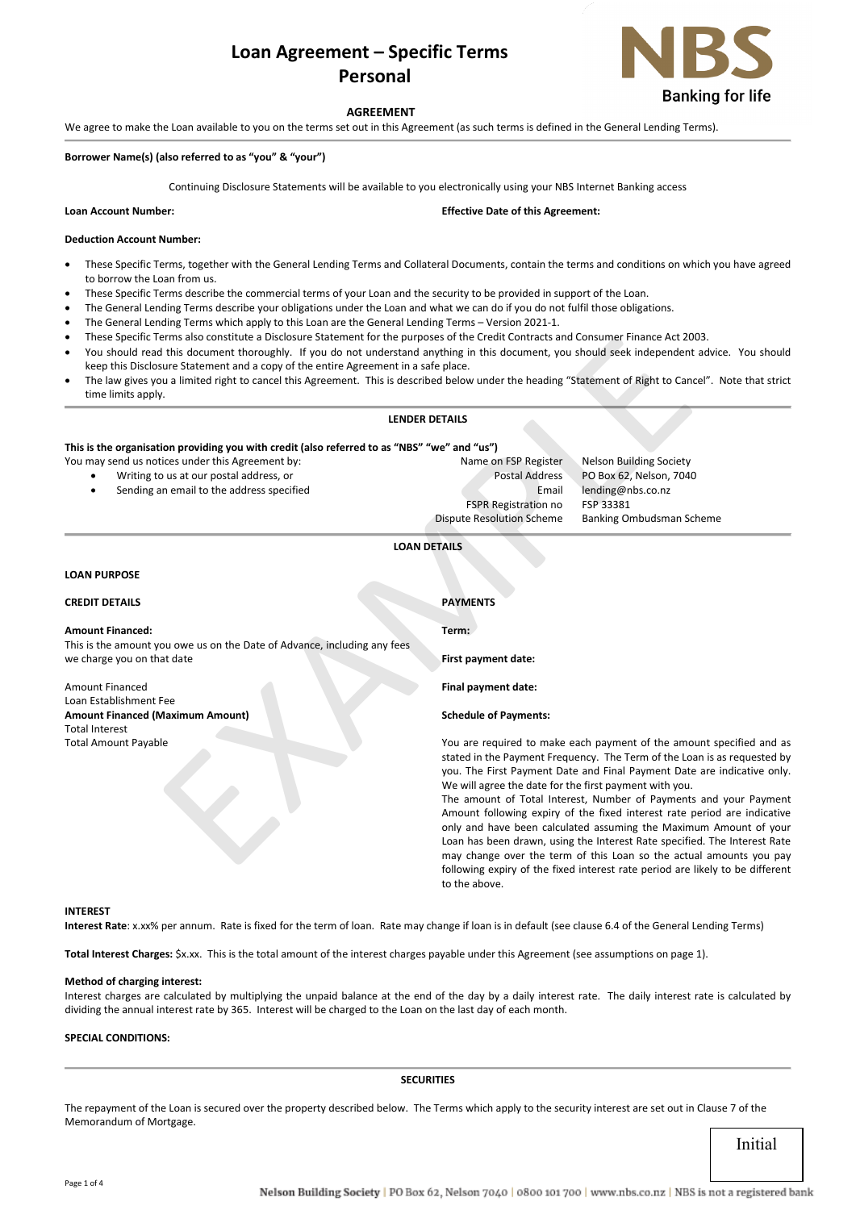# **Loan Agreement – Specific Terms Personal**



# **AGREEMENT**

We agree to make the Loan available to you on the terms set out in this Agreement (as such terms is defined in the General Lending Terms).

#### **Borrower Name(s) (also referred to as "you" & "your")**

Continuing Disclosure Statements will be available to you electronically using your NBS Internet Banking access

**Loan Account Number: Effective Date of this Agreement:** 

# **Deduction Account Number:**

- These Specific Terms, together with the General Lending Terms and Collateral Documents, contain the terms and conditions on which you have agreed to borrow the Loan from us.
- These Specific Terms describe the commercial terms of your Loan and the security to be provided in support of the Loan.
- The General Lending Terms describe your obligations under the Loan and what we can do if you do not fulfil those obligations.
- The General Lending Terms which apply to this Loan are the General Lending Terms Version 2021-1.
- These Specific Terms also constitute a Disclosure Statement for the purposes of the Credit Contracts and Consumer Finance Act 2003.
- You should read this document thoroughly. If you do not understand anything in this document, you should seek independent advice. You should keep this Disclosure Statement and a copy of the entire Agreement in a safe place.
- The law gives you a limited right to cancel this Agreement. This is described below under the heading "Statement of Right to Cancel". Note that strict time limits apply.

#### **LENDER DETAILS**

# **This is the organisation providing you with credit (also referred to as "NBS" "we" and "us")**

- Sending an email to the address specified Email lending@nbs.co.nz
- FSPR Registration no FSP 33381

# **LOAN DETAILS**

# **LOAN PURPOSE**

| These Specific Terms also constitute a Disclosure Statement for the purposes of the Credit Contracts and Consumer Finance Act 2003.<br>You should read this document thoroughly. If you do not understand anything in this document, you should seek independent advice. You should |                                                                                                                                                                                                               |                                                                           |  |
|-------------------------------------------------------------------------------------------------------------------------------------------------------------------------------------------------------------------------------------------------------------------------------------|---------------------------------------------------------------------------------------------------------------------------------------------------------------------------------------------------------------|---------------------------------------------------------------------------|--|
| keep this Disclosure Statement and a copy of the entire Agreement in a safe place.<br>The law gives you a limited right to cancel this Agreement. This is described below under the heading "Statement of Right to Cancel". Note that strict<br>$\bullet$<br>time limits apply.     |                                                                                                                                                                                                               |                                                                           |  |
|                                                                                                                                                                                                                                                                                     | <b>LENDER DETAILS</b>                                                                                                                                                                                         |                                                                           |  |
| This is the organisation providing you with credit (also referred to as "NBS" "we" and "us")                                                                                                                                                                                        |                                                                                                                                                                                                               |                                                                           |  |
| You may send us notices under this Agreement by:                                                                                                                                                                                                                                    | Name on FSP Register                                                                                                                                                                                          | <b>Nelson Building Society</b>                                            |  |
| Writing to us at our postal address, or                                                                                                                                                                                                                                             | <b>Postal Address</b>                                                                                                                                                                                         | PO Box 62, Nelson, 7040                                                   |  |
| Sending an email to the address specified                                                                                                                                                                                                                                           | Email                                                                                                                                                                                                         | lending@nbs.co.nz                                                         |  |
|                                                                                                                                                                                                                                                                                     | <b>FSPR Registration no</b>                                                                                                                                                                                   | FSP 33381                                                                 |  |
|                                                                                                                                                                                                                                                                                     | <b>Dispute Resolution Scheme</b>                                                                                                                                                                              | Banking Ombudsman Scheme                                                  |  |
|                                                                                                                                                                                                                                                                                     | <b>LOAN DETAILS</b>                                                                                                                                                                                           |                                                                           |  |
| <b>LOAN PURPOSE</b>                                                                                                                                                                                                                                                                 |                                                                                                                                                                                                               |                                                                           |  |
| <b>CREDIT DETAILS</b>                                                                                                                                                                                                                                                               | <b>PAYMENTS</b>                                                                                                                                                                                               |                                                                           |  |
| <b>Amount Financed:</b>                                                                                                                                                                                                                                                             | Term:                                                                                                                                                                                                         |                                                                           |  |
| This is the amount you owe us on the Date of Advance, including any fees                                                                                                                                                                                                            |                                                                                                                                                                                                               |                                                                           |  |
| we charge you on that date                                                                                                                                                                                                                                                          | First payment date:                                                                                                                                                                                           |                                                                           |  |
| <b>Amount Financed</b>                                                                                                                                                                                                                                                              | Final payment date:                                                                                                                                                                                           |                                                                           |  |
| Loan Establishment Fee                                                                                                                                                                                                                                                              |                                                                                                                                                                                                               |                                                                           |  |
| <b>Amount Financed (Maximum Amount)</b>                                                                                                                                                                                                                                             | <b>Schedule of Payments:</b>                                                                                                                                                                                  |                                                                           |  |
| <b>Total Interest</b>                                                                                                                                                                                                                                                               |                                                                                                                                                                                                               |                                                                           |  |
| <b>Total Amount Payable</b>                                                                                                                                                                                                                                                         | You are required to make each payment of the amount specified and as                                                                                                                                          |                                                                           |  |
|                                                                                                                                                                                                                                                                                     | stated in the Payment Frequency. The Term of the Loan is as requested by<br>you. The First Payment Date and Final Payment Date are indicative only.<br>We will agree the date for the first payment with you. |                                                                           |  |
|                                                                                                                                                                                                                                                                                     |                                                                                                                                                                                                               |                                                                           |  |
|                                                                                                                                                                                                                                                                                     |                                                                                                                                                                                                               | The amount of Total Interest, Number of Payments and your Payment         |  |
|                                                                                                                                                                                                                                                                                     |                                                                                                                                                                                                               |                                                                           |  |
|                                                                                                                                                                                                                                                                                     | Amount following expiry of the fixed interest rate period are indicative<br>only and have been calculated assuming the Maximum Amount of your                                                                 |                                                                           |  |
|                                                                                                                                                                                                                                                                                     |                                                                                                                                                                                                               | Loan has been drawn, using the Interest Rate specified. The Interest Rate |  |
|                                                                                                                                                                                                                                                                                     |                                                                                                                                                                                                               | may change over the term of this Loan so the actual amounts you pay       |  |
|                                                                                                                                                                                                                                                                                     |                                                                                                                                                                                                               |                                                                           |  |

Amount following expiry of the fixed interest rate period are indicative only and have been calculated assuming the Maximum Amount of your Loan has been drawn, using the Interest Rate specified. The Interest Rate may change over the term of this Loan so the actual amounts you pay following expiry of the fixed interest rate period are likely to be different to the above.

### **INTEREST**

**Interest Rate**: x.xx% per annum. Rate is fixed for the term of loan. Rate may change if loan is in default (see clause 6.4 of the General Lending Terms)

**Total Interest Charges:** \$x.xx. This is the total amount of the interest charges payable under this Agreement (see assumptions on page 1).

# **Method of charging interest:**

Interest charges are calculated by multiplying the unpaid balance at the end of the day by a daily interest rate. The daily interest rate is calculated by dividing the annual interest rate by 365. Interest will be charged to the Loan on the last day of each month.

# **SPECIAL CONDITIONS:**

#### **SECURITIES**

The repayment of the Loan is secured over the property described below. The Terms which apply to the security interest are set out in Clause 7 of the Memorandum of Mortgage.

Initial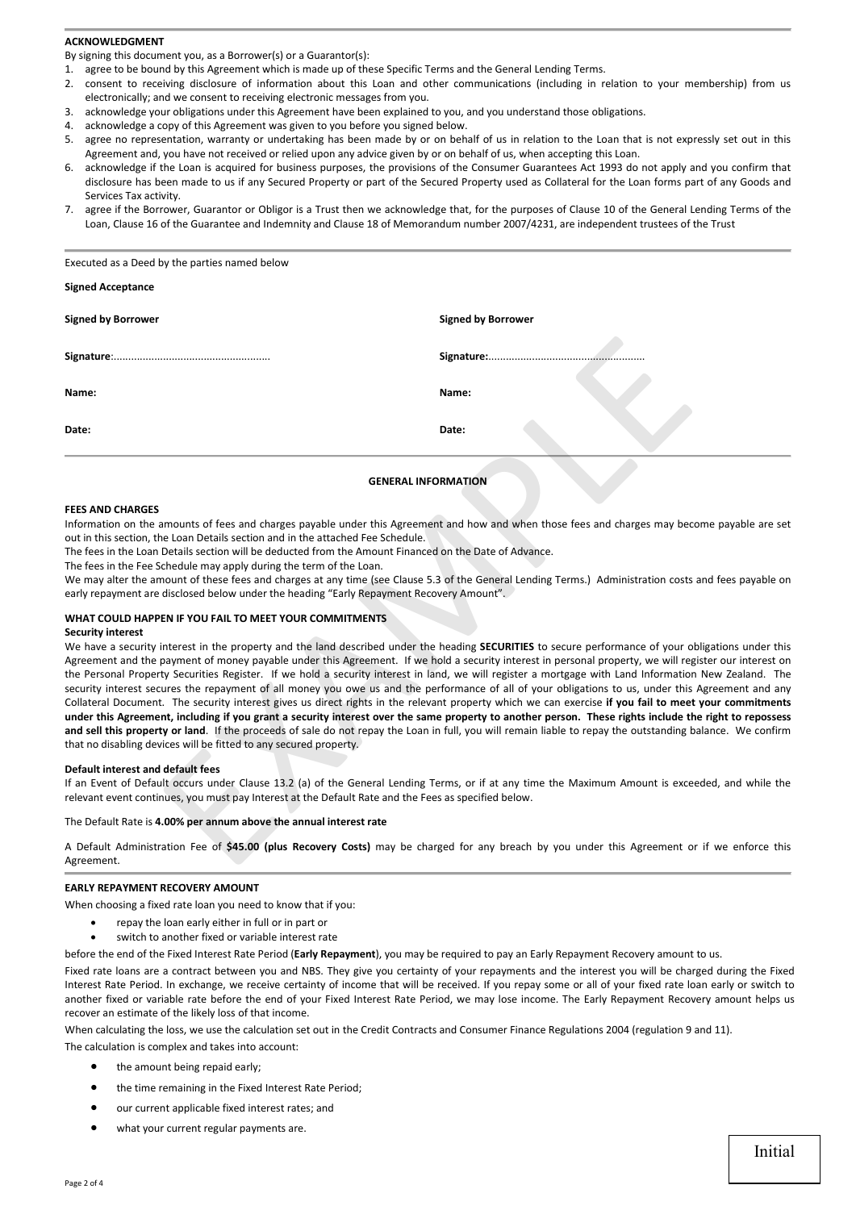# **ACKNOWLEDGMENT**

By signing this document you, as a Borrower(s) or a Guarantor(s):

Executed as a Deed by the parties named below

- 1. agree to be bound by this Agreement which is made up of these Specific Terms and the General Lending Terms.
- 2. consent to receiving disclosure of information about this Loan and other communications (including in relation to your membership) from us electronically; and we consent to receiving electronic messages from you.
- 3. acknowledge your obligations under this Agreement have been explained to you, and you understand those obligations.
- 4. acknowledge a copy of this Agreement was given to you before you signed below.
- 5. agree no representation, warranty or undertaking has been made by or on behalf of us in relation to the Loan that is not expressly set out in this Agreement and, you have not received or relied upon any advice given by or on behalf of us, when accepting this Loan.
- 6. acknowledge if the Loan is acquired for business purposes, the provisions of the Consumer Guarantees Act 1993 do not apply and you confirm that disclosure has been made to us if any Secured Property or part of the Secured Property used as Collateral for the Loan forms part of any Goods and Services Tax activity.
- 7. agree if the Borrower, Guarantor or Obligor is a Trust then we acknowledge that, for the purposes of Clause 10 of the General Lending Terms of the Loan, Clause 16 of the Guarantee and Indemnity and Clause 18 of Memorandum number 2007/4231, are independent trustees of the Trust

| <b>Signed Acceptance</b>                                                                                                                                                                                                                                                                                                                                                                |                                                                                                                                                                                                                                                                                                                                                                                                                                                                                                                                                                                                                                                                                                                                                                                                                                                                                                                                                                                                                                                                                                                |
|-----------------------------------------------------------------------------------------------------------------------------------------------------------------------------------------------------------------------------------------------------------------------------------------------------------------------------------------------------------------------------------------|----------------------------------------------------------------------------------------------------------------------------------------------------------------------------------------------------------------------------------------------------------------------------------------------------------------------------------------------------------------------------------------------------------------------------------------------------------------------------------------------------------------------------------------------------------------------------------------------------------------------------------------------------------------------------------------------------------------------------------------------------------------------------------------------------------------------------------------------------------------------------------------------------------------------------------------------------------------------------------------------------------------------------------------------------------------------------------------------------------------|
| <b>Signed by Borrower</b>                                                                                                                                                                                                                                                                                                                                                               | <b>Signed by Borrower</b>                                                                                                                                                                                                                                                                                                                                                                                                                                                                                                                                                                                                                                                                                                                                                                                                                                                                                                                                                                                                                                                                                      |
|                                                                                                                                                                                                                                                                                                                                                                                         |                                                                                                                                                                                                                                                                                                                                                                                                                                                                                                                                                                                                                                                                                                                                                                                                                                                                                                                                                                                                                                                                                                                |
| Name:                                                                                                                                                                                                                                                                                                                                                                                   | Name:                                                                                                                                                                                                                                                                                                                                                                                                                                                                                                                                                                                                                                                                                                                                                                                                                                                                                                                                                                                                                                                                                                          |
| Date:                                                                                                                                                                                                                                                                                                                                                                                   | Date:                                                                                                                                                                                                                                                                                                                                                                                                                                                                                                                                                                                                                                                                                                                                                                                                                                                                                                                                                                                                                                                                                                          |
|                                                                                                                                                                                                                                                                                                                                                                                         | <b>GENERAL INFORMATION</b>                                                                                                                                                                                                                                                                                                                                                                                                                                                                                                                                                                                                                                                                                                                                                                                                                                                                                                                                                                                                                                                                                     |
| <b>FEES AND CHARGES</b><br>out in this section, the Loan Details section and in the attached Fee Schedule.<br>The fees in the Loan Details section will be deducted from the Amount Financed on the Date of Advance.<br>The fees in the Fee Schedule may apply during the term of the Loan.<br>early repayment are disclosed below under the heading "Early Repayment Recovery Amount". | Information on the amounts of fees and charges payable under this Agreement and how and when those fees and charges may become payable are se<br>We may alter the amount of these fees and charges at any time (see Clause 5.3 of the General Lending Terms.) Administration costs and fees payable or                                                                                                                                                                                                                                                                                                                                                                                                                                                                                                                                                                                                                                                                                                                                                                                                         |
| WHAT COULD HAPPEN IF YOU FAIL TO MEET YOUR COMMITMENTS<br><b>Security interest</b><br>that no disabling devices will be fitted to any secured property.                                                                                                                                                                                                                                 | We have a security interest in the property and the land described under the heading SECURITIES to secure performance of your obligations under this<br>Agreement and the payment of money payable under this Agreement. If we hold a security interest in personal property, we will register our interest or<br>the Personal Property Securities Register. If we hold a security interest in land, we will register a mortgage with Land Information New Zealand. The<br>security interest secures the repayment of all money you owe us and the performance of all of your obligations to us, under this Agreement and any<br>Collateral Document. The security interest gives us direct rights in the relevant property which we can exercise if you fail to meet your commitments<br>under this Agreement, including if you grant a security interest over the same property to another person. These rights include the right to reposses:<br>and sell this property or land. If the proceeds of sale do not repay the Loan in full, you will remain liable to repay the outstanding balance. We confirm |
| Default interest and default fees<br>relevant event continues, you must pay Interest at the Default Rate and the Fees as specified below.                                                                                                                                                                                                                                               | If an Event of Default occurs under Clause 13.2 (a) of the General Lending Terms, or if at any time the Maximum Amount is exceeded, and while the                                                                                                                                                                                                                                                                                                                                                                                                                                                                                                                                                                                                                                                                                                                                                                                                                                                                                                                                                              |
| The Default Rate is 4.00% per annum above the annual interest rate                                                                                                                                                                                                                                                                                                                      |                                                                                                                                                                                                                                                                                                                                                                                                                                                                                                                                                                                                                                                                                                                                                                                                                                                                                                                                                                                                                                                                                                                |
| Agreement.                                                                                                                                                                                                                                                                                                                                                                              | A Default Administration Fee of \$45.00 (plus Recovery Costs) may be charged for any breach by you under this Agreement or if we enforce this                                                                                                                                                                                                                                                                                                                                                                                                                                                                                                                                                                                                                                                                                                                                                                                                                                                                                                                                                                  |

### **GENERAL INFORMATION**

#### **FEES AND CHARGES**

#### **WHAT COULD HAPPEN IF YOU FAIL TO MEET YOUR COMMITMENTS**

#### **Security interest**

#### **Default interest and default fees**

#### The Default Rate is **4.00% per annum above the annual interest rate**

# **EARLY REPAYMENT RECOVERY AMOUNT**

When choosing a fixed rate loan you need to know that if you:

- repay the loan early either in full or in part or
- switch to another fixed or variable interest rate

before the end of the Fixed Interest Rate Period (**Early Repayment**), you may be required to pay an Early Repayment Recovery amount to us.

Fixed rate loans are a contract between you and NBS. They give you certainty of your repayments and the interest you will be charged during the Fixed Interest Rate Period. In exchange, we receive certainty of income that will be received. If you repay some or all of your fixed rate loan early or switch to another fixed or variable rate before the end of your Fixed Interest Rate Period, we may lose income. The Early Repayment Recovery amount helps us recover an estimate of the likely loss of that income.

When calculating the loss, we use the calculation set out in the Credit Contracts and Consumer Finance Regulations 2004 (regulation 9 and 11).

The calculation is complex and takes into account:

- the amount being repaid early;
- the time remaining in the Fixed Interest Rate Period;
- our current applicable fixed interest rates; and
- what your current regular payments are.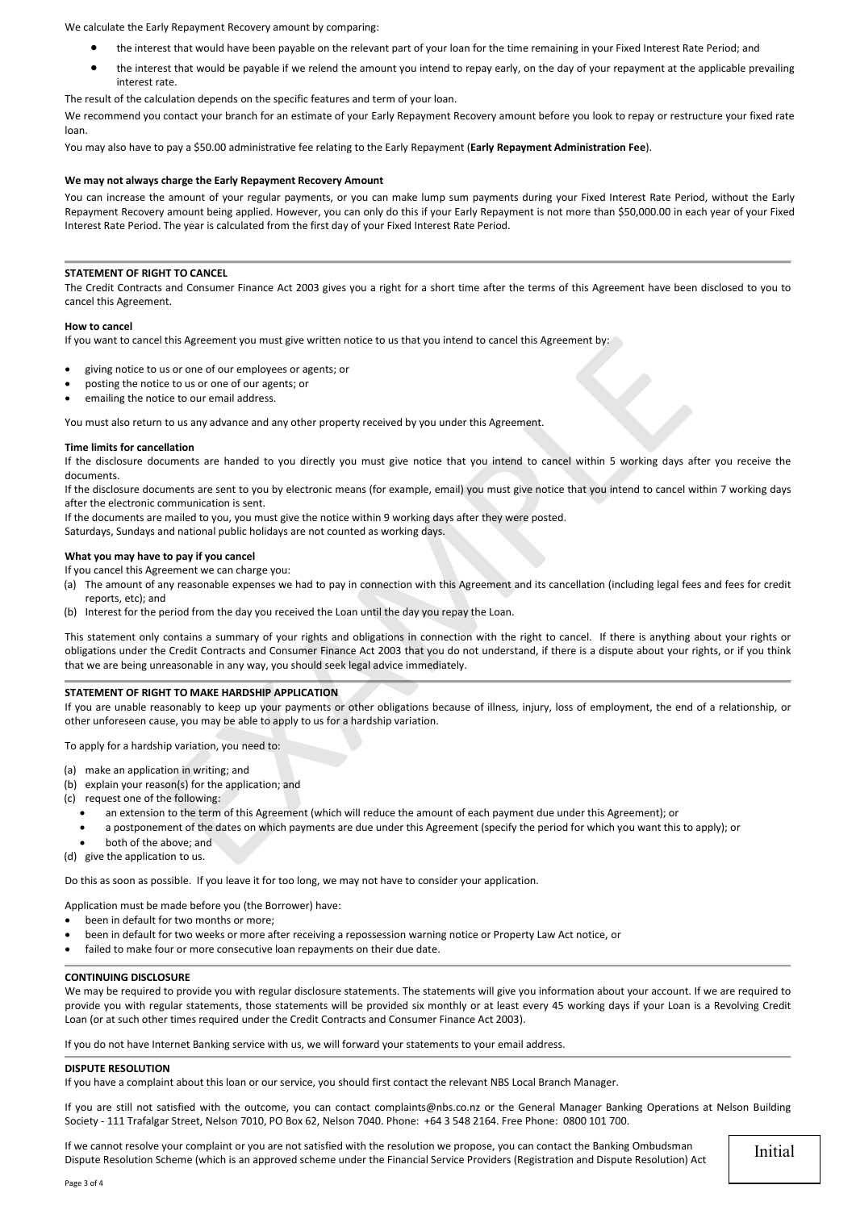We calculate the Early Repayment Recovery amount by comparing:

- the interest that would have been payable on the relevant part of your loan for the time remaining in your Fixed Interest Rate Period; and
- the interest that would be payable if we relend the amount you intend to repay early, on the day of your repayment at the applicable prevailing interest rate.

The result of the calculation depends on the specific features and term of your loan.

We recommend you contact your branch for an estimate of your Early Repayment Recovery amount before you look to repay or restructure your fixed rate loan.

You may also have to pay a \$50.00 administrative fee relating to the Early Repayment (**Early Repayment Administration Fee**).

#### **We may not always charge the Early Repayment Recovery Amount**

You can increase the amount of your regular payments, or you can make lump sum payments during your Fixed Interest Rate Period, without the Early Repayment Recovery amount being applied. However, you can only do this if your Early Repayment is not more than \$50,000.00 in each year of your Fixed Interest Rate Period. The year is calculated from the first day of your Fixed Interest Rate Period.

#### **STATEMENT OF RIGHT TO CANCEL**

The Credit Contracts and Consumer Finance Act 2003 gives you a right for a short time after the terms of this Agreement have been disclosed to you to cancel this Agreement.

#### **How to cancel**

If you want to cancel this Agreement you must give written notice to us that you intend to cancel this Agreement by:

- giving notice to us or one of our employees or agents; or
- posting the notice to us or one of our agents; or
- emailing the notice to our email address.

You must also return to us any advance and any other property received by you under this Agreement.

#### **Time limits for cancellation**

If the disclosure documents are handed to you directly you must give notice that you intend to cancel within 5 working days after you receive the documents.

If the disclosure documents are sent to you by electronic means (for example, email) you must give notice that you intend to cancel within 7 working days after the electronic communication is sent.

If the documents are mailed to you, you must give the notice within 9 working days after they were posted.

Saturdays, Sundays and national public holidays are not counted as working days.

# **What you may have to pay if you cancel**

If you cancel this Agreement we can charge you:

- (a) The amount of any reasonable expenses we had to pay in connection with this Agreement and its cancellation (including legal fees and fees for credit reports, etc); and
- (b) Interest for the period from the day you received the Loan until the day you repay the Loan.

This statement only contains a summary of your rights and obligations in connection with the right to cancel. If there is anything about your rights or obligations under the Credit Contracts and Consumer Finance Act 2003 that you do not understand, if there is a dispute about your rights, or if you think that we are being unreasonable in any way, you should seek legal advice immediately. this Agreement you must give written notice to us that you intend to cancel this Agreement by:<br>
sus or one of our employees or agents; or<br>
tie to us or one of our agents; or<br>
tie to us or one of our agents; or<br>
tie to our

#### **STATEMENT OF RIGHT TO MAKE HARDSHIP APPLICATION**

If you are unable reasonably to keep up your payments or other obligations because of illness, injury, loss of employment, the end of a relationship, or other unforeseen cause, you may be able to apply to us for a hardship variation.

To apply for a hardship variation, you need to:

- (a) make an application in writing; and
- (b) explain your reason(s) for the application; and
- (c) request one of the following:
	- an extension to the term of this Agreement (which will reduce the amount of each payment due under this Agreement); or
	- a postponement of the dates on which payments are due under this Agreement (specify the period for which you want this to apply); or
	- both of the above; and

(d) give the application to us.

Do this as soon as possible. If you leave it for too long, we may not have to consider your application.

Application must be made before you (the Borrower) have:

- been in default for two months or more:
- been in default for two weeks or more after receiving a repossession warning notice or Property Law Act notice, or
- failed to make four or more consecutive loan repayments on their due date.

# **CONTINUING DISCLOSURE**

We may be required to provide you with regular disclosure statements. The statements will give you information about your account. If we are required to provide you with regular statements, those statements will be provided six monthly or at least every 45 working days if your Loan is a Revolving Credit Loan (or at such other times required under the Credit Contracts and Consumer Finance Act 2003).

If you do not have Internet Banking service with us, we will forward your statements to your email address.

# **DISPUTE RESOLUTION**

If you have a complaint about this loan or our service, you should first contact the relevant NBS Local Branch Manager.

If you are still not satisfied with the outcome, you can contact [complaints@nbs.co.nz](mailto:complaints@nbs.co.nz) or the General Manager Banking Operations at Nelson Building Society - 111 Trafalgar Street, Nelson 7010, PO Box 62, Nelson 7040. Phone: +64 3 548 2164. Free Phone: 0800 101 700.

If we cannot resolve your complaint or you are not satisfied with the resolution we propose, you can contact the Banking Ombudsman Dispute Resolution Scheme (which is an approved scheme under the Financial Service Providers (Registration and Dispute Resolution) Act